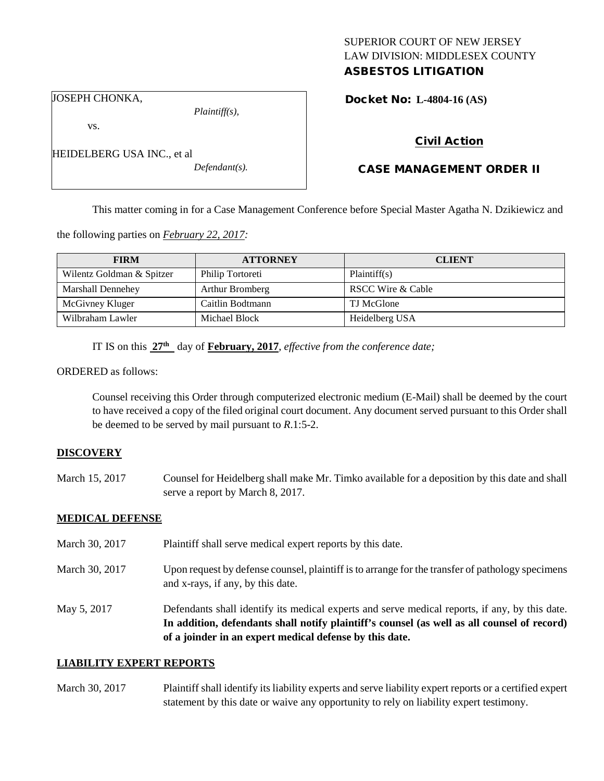# SUPERIOR COURT OF NEW JERSEY LAW DIVISION: MIDDLESEX COUNTY

## ASBESTOS LITIGATION

Docket No: **L-4804-16 (AS)** 

JOSEPH CHONKA,

HEIDELBERG USA INC., et al

vs.

*Plaintiff(s),*

*Defendant(s).*

Civil Action

### CASE MANAGEMENT ORDER II

This matter coming in for a Case Management Conference before Special Master Agatha N. Dzikiewicz and

the following parties on *February 22, 2017:*

| <b>FIRM</b>               | <b>ATTORNEY</b>  | <b>CLIENT</b>     |
|---------------------------|------------------|-------------------|
| Wilentz Goldman & Spitzer | Philip Tortoreti | Plaintiff(s)      |
| <b>Marshall Dennehey</b>  | Arthur Bromberg  | RSCC Wire & Cable |
| McGivney Kluger           | Caitlin Bodtmann | TJ McGlone        |
| Wilbraham Lawler          | Michael Block    | Heidelberg USA    |

IT IS on this  $27<sup>th</sup>$  day of **February, 2017**, *effective from the conference date;* 

ORDERED as follows:

Counsel receiving this Order through computerized electronic medium (E-Mail) shall be deemed by the court to have received a copy of the filed original court document. Any document served pursuant to this Order shall be deemed to be served by mail pursuant to *R*.1:5-2.

#### **DISCOVERY**

March 15, 2017 Counsel for Heidelberg shall make Mr. Timko available for a deposition by this date and shall serve a report by March 8, 2017.

#### **MEDICAL DEFENSE**

March 30, 2017 Plaint if shall serve medical expert reports by this date. March 30, 2017 Upon request by defense counsel, plaintiff is to arrange for the transfer of pathology specimens and x-rays, if any, by this date. May 5, 2017 Defendants shall identify its medical experts and serve medical reports, if any, by this date. **In addition, defendants shall notify plaintiff's counsel (as well as all counsel of record) of a joinder in an expert medical defense by this date.**

#### **LIABILITY EXPERT REPORTS**

March 30, 2017 Plaintiff shall identify its liability experts and serve liability expert reports or a certified expert statement by this date or waive any opportunity to rely on liability expert testimony.